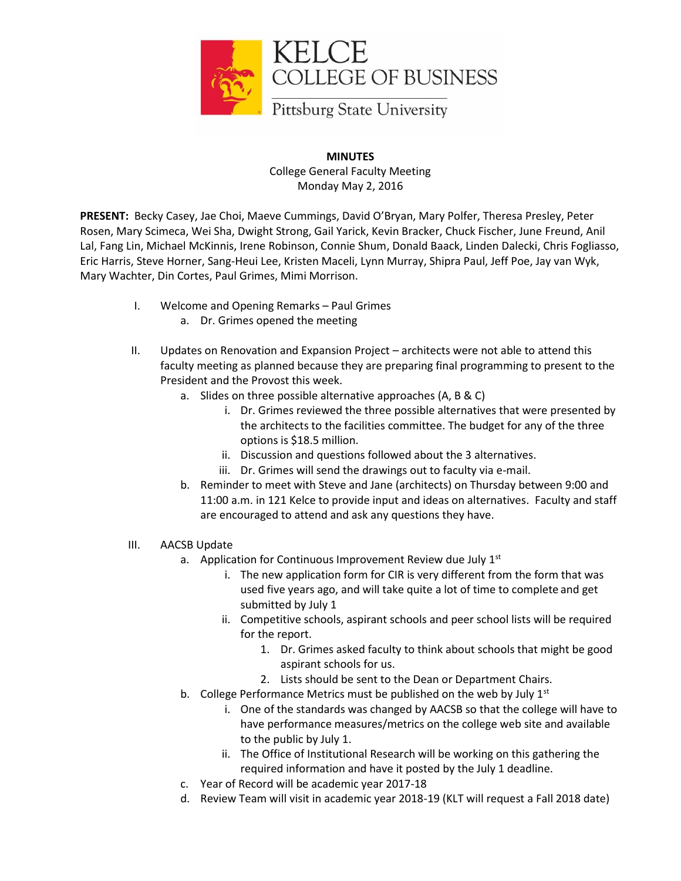

## **MINUTES** College General Faculty Meeting Monday May 2, 2016

**PRESENT:** Becky Casey, Jae Choi, Maeve Cummings, David O'Bryan, Mary Polfer, Theresa Presley, Peter Rosen, Mary Scimeca, Wei Sha, Dwight Strong, Gail Yarick, Kevin Bracker, Chuck Fischer, June Freund, Anil Lal, Fang Lin, Michael McKinnis, Irene Robinson, Connie Shum, Donald Baack, Linden Dalecki, Chris Fogliasso, Eric Harris, Steve Horner, Sang-Heui Lee, Kristen Maceli, Lynn Murray, Shipra Paul, Jeff Poe, Jay van Wyk, Mary Wachter, Din Cortes, Paul Grimes, Mimi Morrison.

- I. Welcome and Opening Remarks Paul Grimes
	- a. Dr. Grimes opened the meeting
- II. Updates on Renovation and Expansion Project architects were not able to attend this faculty meeting as planned because they are preparing final programming to present to the President and the Provost this week.
	- a. Slides on three possible alternative approaches (A, B & C)
		- i. Dr. Grimes reviewed the three possible alternatives that were presented by the architects to the facilities committee. The budget for any of the three options is \$18.5 million.
		- ii. Discussion and questions followed about the 3 alternatives.
		- iii. Dr. Grimes will send the drawings out to faculty via e-mail.
	- b. Reminder to meet with Steve and Jane (architects) on Thursday between 9:00 and 11:00 a.m. in 121 Kelce to provide input and ideas on alternatives. Faculty and staff are encouraged to attend and ask any questions they have.
- III. AACSB Update
	- a. Application for Continuous Improvement Review due July 1<sup>st</sup>
		- i. The new application form for CIR is very different from the form that was used five years ago, and will take quite a lot of time to complete and get submitted by July 1
		- ii. Competitive schools, aspirant schools and peer school lists will be required for the report.
			- 1. Dr. Grimes asked faculty to think about schools that might be good aspirant schools for us.
			- 2. Lists should be sent to the Dean or Department Chairs.
	- b. College Performance Metrics must be published on the web by July  $1<sup>st</sup>$ 
		- i. One of the standards was changed by AACSB so that the college will have to have performance measures/metrics on the college web site and available to the public by July 1.
		- ii. The Office of Institutional Research will be working on this gathering the required information and have it posted by the July 1 deadline.
	- c. Year of Record will be academic year 2017-18
	- d. Review Team will visit in academic year 2018-19 (KLT will request a Fall 2018 date)